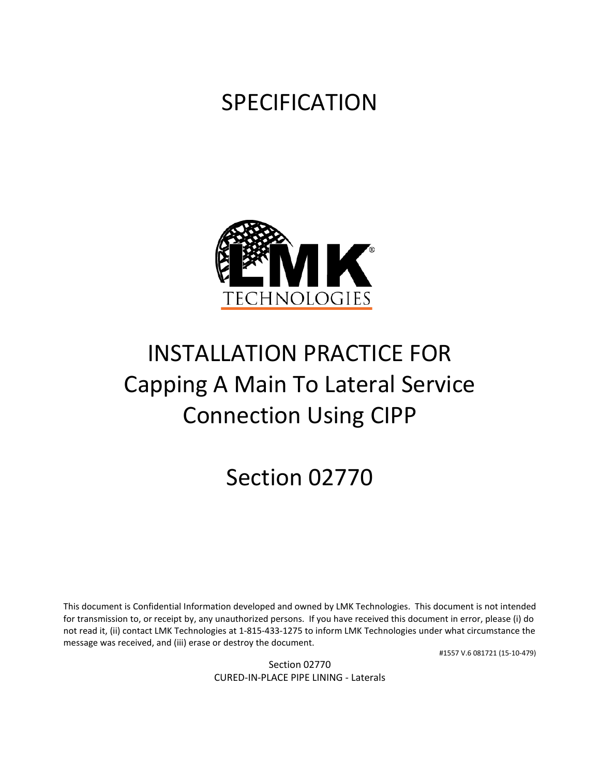### SPECIFICATION



# INSTALLATION PRACTICE FOR Capping A Main To Lateral Service Connection Using CIPP

## Section 02770

This document is Confidential Information developed and owned by LMK Technologies. This document is not intended for transmission to, or receipt by, any unauthorized persons. If you have received this document in error, please (i) do not read it, (ii) contact LMK Technologies at 1-815-433-1275 to inform LMK Technologies under what circumstance the message was received, and (iii) erase or destroy the document.

#1557 V.6 081721 (15-10-479)

Section 02770 CURED-IN-PLACE PIPE LINING - Laterals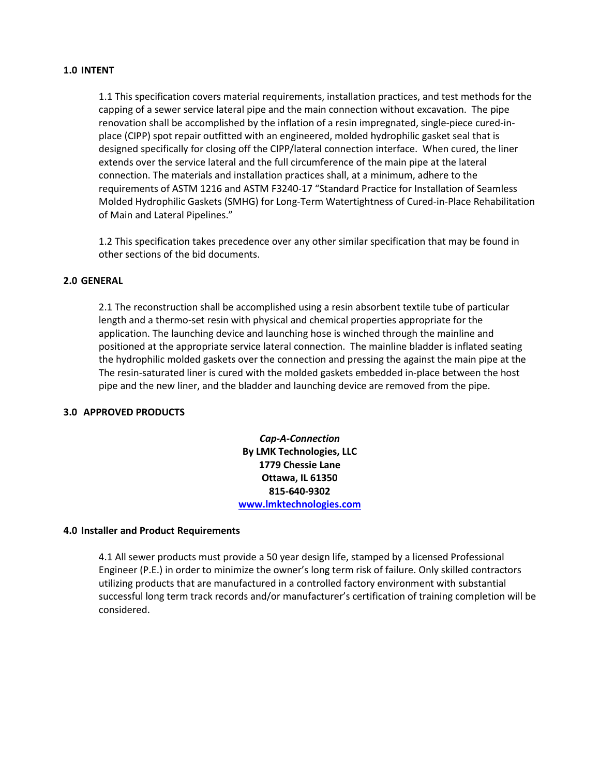#### **1.0 INTENT**

1.1 This specification covers material requirements, installation practices, and test methods for the capping of a sewer service lateral pipe and the main connection without excavation. The pipe renovation shall be accomplished by the inflation of a resin impregnated, single-piece cured-inplace (CIPP) spot repair outfitted with an engineered, molded hydrophilic gasket seal that is designed specifically for closing off the CIPP/lateral connection interface. When cured, the liner extends over the service lateral and the full circumference of the main pipe at the lateral connection. The materials and installation practices shall, at a minimum, adhere to the requirements of ASTM 1216 and ASTM F3240-17 "Standard Practice for Installation of Seamless Molded Hydrophilic Gaskets (SMHG) for Long-Term Watertightness of Cured-in-Place Rehabilitation of Main and Lateral Pipelines."

1.2 This specification takes precedence over any other similar specification that may be found in other sections of the bid documents.

#### **2.0 GENERAL**

2.1 The reconstruction shall be accomplished using a resin absorbent textile tube of particular length and a thermo-set resin with physical and chemical properties appropriate for the application. The launching device and launching hose is winched through the mainline and positioned at the appropriate service lateral connection. The mainline bladder is inflated seating the hydrophilic molded gaskets over the connection and pressing the against the main pipe at the The resin-saturated liner is cured with the molded gaskets embedded in-place between the host pipe and the new liner, and the bladder and launching device are removed from the pipe.

#### **3.0 APPROVED PRODUCTS**

*Cap-A-Connection* **By LMK Technologies, LLC 1779 Chessie Lane Ottawa, IL 61350 815-640-9302 [www.lmktechnologies.com](http://www.lmktechnologies.com/t-liner.php)**

#### **4.0 Installer and Product Requirements**

4.1 All sewer products must provide a 50 year design life, stamped by a licensed Professional Engineer (P.E.) in order to minimize the owner's long term risk of failure. Only skilled contractors utilizing products that are manufactured in a controlled factory environment with substantial successful long term track records and/or manufacturer's certification of training completion will be considered.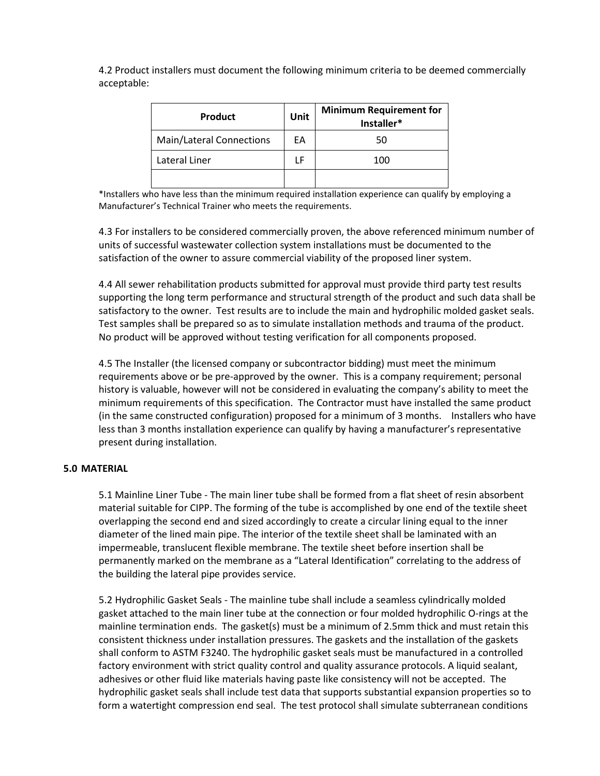4.2 Product installers must document the following minimum criteria to be deemed commercially acceptable:

| <b>Product</b>                  | Unit | <b>Minimum Requirement for</b><br>Installer* |
|---------------------------------|------|----------------------------------------------|
| <b>Main/Lateral Connections</b> | EА   | 50                                           |
| Lateral Liner                   | LF   | 100                                          |
|                                 |      |                                              |

\*Installers who have less than the minimum required installation experience can qualify by employing a Manufacturer's Technical Trainer who meets the requirements.

4.3 For installers to be considered commercially proven, the above referenced minimum number of units of successful wastewater collection system installations must be documented to the satisfaction of the owner to assure commercial viability of the proposed liner system.

4.4 All sewer rehabilitation products submitted for approval must provide third party test results supporting the long term performance and structural strength of the product and such data shall be satisfactory to the owner. Test results are to include the main and hydrophilic molded gasket seals. Test samples shall be prepared so as to simulate installation methods and trauma of the product. No product will be approved without testing verification for all components proposed.

4.5 The Installer (the licensed company or subcontractor bidding) must meet the minimum requirements above or be pre-approved by the owner. This is a company requirement; personal history is valuable, however will not be considered in evaluating the company's ability to meet the minimum requirements of this specification. The Contractor must have installed the same product (in the same constructed configuration) proposed for a minimum of 3 months. Installers who have less than 3 months installation experience can qualify by having a manufacturer's representative present during installation.

#### **5.0 MATERIAL**

5.1 Mainline Liner Tube - The main liner tube shall be formed from a flat sheet of resin absorbent material suitable for CIPP. The forming of the tube is accomplished by one end of the textile sheet overlapping the second end and sized accordingly to create a circular lining equal to the inner diameter of the lined main pipe. The interior of the textile sheet shall be laminated with an impermeable, translucent flexible membrane. The textile sheet before insertion shall be permanently marked on the membrane as a "Lateral Identification" correlating to the address of the building the lateral pipe provides service.

5.2 Hydrophilic Gasket Seals - The mainline tube shall include a seamless cylindrically molded gasket attached to the main liner tube at the connection or four molded hydrophilic O-rings at the mainline termination ends. The gasket(s) must be a minimum of 2.5mm thick and must retain this consistent thickness under installation pressures. The gaskets and the installation of the gaskets shall conform to ASTM F3240. The hydrophilic gasket seals must be manufactured in a controlled factory environment with strict quality control and quality assurance protocols. A liquid sealant, adhesives or other fluid like materials having paste like consistency will not be accepted. The hydrophilic gasket seals shall include test data that supports substantial expansion properties so to form a watertight compression end seal. The test protocol shall simulate subterranean conditions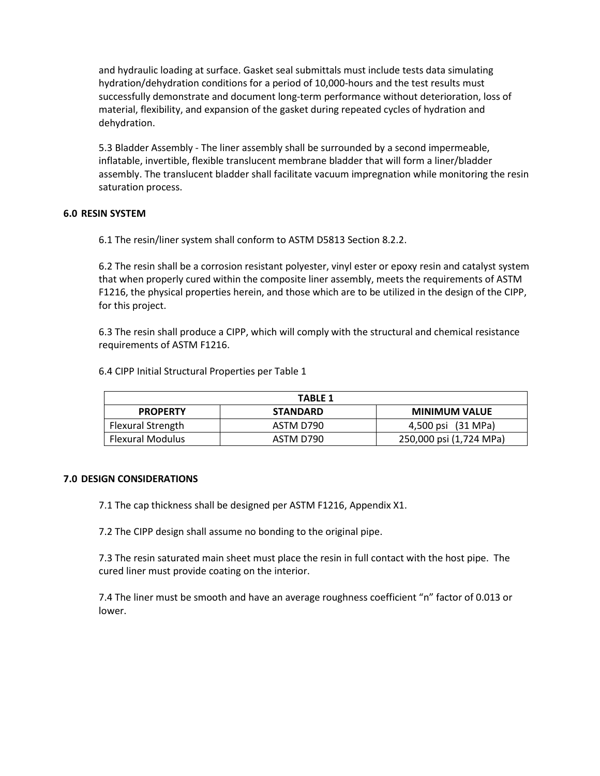and hydraulic loading at surface. Gasket seal submittals must include tests data simulating hydration/dehydration conditions for a period of 10,000-hours and the test results must successfully demonstrate and document long-term performance without deterioration, loss of material, flexibility, and expansion of the gasket during repeated cycles of hydration and dehydration.

5.3 Bladder Assembly - The liner assembly shall be surrounded by a second impermeable, inflatable, invertible, flexible translucent membrane bladder that will form a liner/bladder assembly. The translucent bladder shall facilitate vacuum impregnation while monitoring the resin saturation process.

#### **6.0 RESIN SYSTEM**

6.1 The resin/liner system shall conform to ASTM D5813 Section 8.2.2.

6.2 The resin shall be a corrosion resistant polyester, vinyl ester or epoxy resin and catalyst system that when properly cured within the composite liner assembly, meets the requirements of ASTM F1216, the physical properties herein, and those which are to be utilized in the design of the CIPP, for this project.

6.3 The resin shall produce a CIPP, which will comply with the structural and chemical resistance requirements of ASTM F1216.

| <b>TABLE 1</b>           |                 |                         |  |
|--------------------------|-----------------|-------------------------|--|
| <b>PROPERTY</b>          | <b>STANDARD</b> | <b>MINIMUM VALUE</b>    |  |
| <b>Flexural Strength</b> | ASTM D790       | 4,500 psi (31 MPa)      |  |
| <b>Flexural Modulus</b>  | ASTM D790       | 250,000 psi (1,724 MPa) |  |

6.4 CIPP Initial Structural Properties per Table 1

#### **7.0 DESIGN CONSIDERATIONS**

7.1 The cap thickness shall be designed per ASTM F1216, Appendix X1.

7.2 The CIPP design shall assume no bonding to the original pipe.

7.3 The resin saturated main sheet must place the resin in full contact with the host pipe. The cured liner must provide coating on the interior.

7.4 The liner must be smooth and have an average roughness coefficient "n" factor of 0.013 or lower.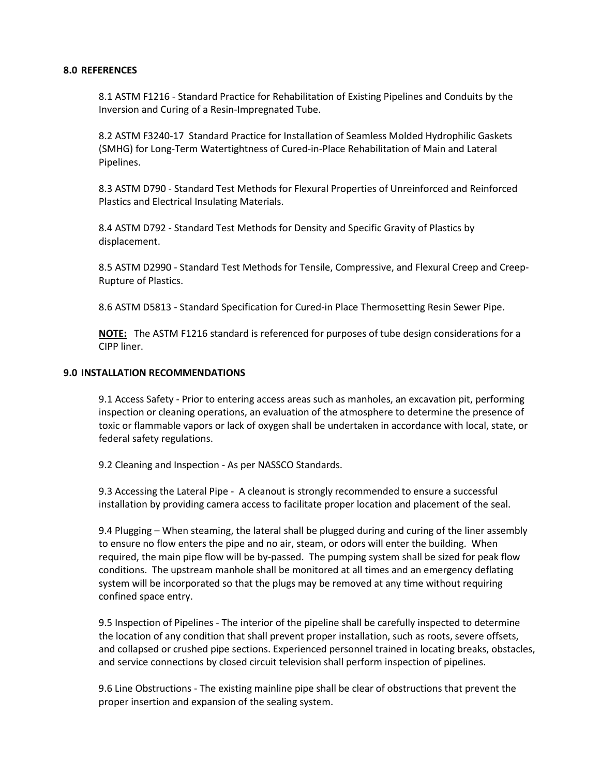#### **8.0 REFERENCES**

8.1 ASTM F1216 - Standard Practice for Rehabilitation of Existing Pipelines and Conduits by the Inversion and Curing of a Resin-Impregnated Tube.

8.2 ASTM F3240-17 Standard Practice for Installation of Seamless Molded Hydrophilic Gaskets (SMHG) for Long-Term Watertightness of Cured-in-Place Rehabilitation of Main and Lateral Pipelines.

8.3 ASTM D790 - Standard Test Methods for Flexural Properties of Unreinforced and Reinforced Plastics and Electrical Insulating Materials.

8.4 ASTM D792 - Standard Test Methods for Density and Specific Gravity of Plastics by displacement.

8.5 ASTM D2990 - Standard Test Methods for Tensile, Compressive, and Flexural Creep and Creep-Rupture of Plastics.

8.6 ASTM D5813 - Standard Specification for Cured-in Place Thermosetting Resin Sewer Pipe.

**NOTE:** The ASTM F1216 standard is referenced for purposes of tube design considerations for a CIPP liner.

#### **9.0 INSTALLATION RECOMMENDATIONS**

9.1 Access Safety - Prior to entering access areas such as manholes, an excavation pit, performing inspection or cleaning operations, an evaluation of the atmosphere to determine the presence of toxic or flammable vapors or lack of oxygen shall be undertaken in accordance with local, state, or federal safety regulations.

9.2 Cleaning and Inspection - As per NASSCO Standards.

9.3 Accessing the Lateral Pipe - A cleanout is strongly recommended to ensure a successful installation by providing camera access to facilitate proper location and placement of the seal.

9.4 Plugging – When steaming, the lateral shall be plugged during and curing of the liner assembly to ensure no flow enters the pipe and no air, steam, or odors will enter the building. When required, the main pipe flow will be by-passed. The pumping system shall be sized for peak flow conditions. The upstream manhole shall be monitored at all times and an emergency deflating system will be incorporated so that the plugs may be removed at any time without requiring confined space entry.

9.5 Inspection of Pipelines - The interior of the pipeline shall be carefully inspected to determine the location of any condition that shall prevent proper installation, such as roots, severe offsets, and collapsed or crushed pipe sections. Experienced personnel trained in locating breaks, obstacles, and service connections by closed circuit television shall perform inspection of pipelines.

9.6 Line Obstructions - The existing mainline pipe shall be clear of obstructions that prevent the proper insertion and expansion of the sealing system.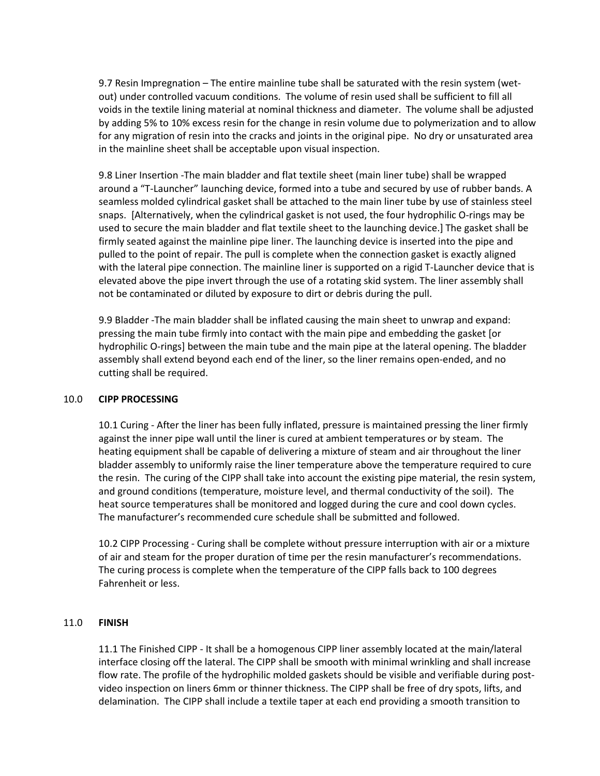9.7 Resin Impregnation – The entire mainline tube shall be saturated with the resin system (wetout) under controlled vacuum conditions. The volume of resin used shall be sufficient to fill all voids in the textile lining material at nominal thickness and diameter. The volume shall be adjusted by adding 5% to 10% excess resin for the change in resin volume due to polymerization and to allow for any migration of resin into the cracks and joints in the original pipe. No dry or unsaturated area in the mainline sheet shall be acceptable upon visual inspection.

9.8 Liner Insertion -The main bladder and flat textile sheet (main liner tube) shall be wrapped around a "T-Launcher" launching device, formed into a tube and secured by use of rubber bands. A seamless molded cylindrical gasket shall be attached to the main liner tube by use of stainless steel snaps. [Alternatively, when the cylindrical gasket is not used, the four hydrophilic O-rings may be used to secure the main bladder and flat textile sheet to the launching device.] The gasket shall be firmly seated against the mainline pipe liner. The launching device is inserted into the pipe and pulled to the point of repair. The pull is complete when the connection gasket is exactly aligned with the lateral pipe connection. The mainline liner is supported on a rigid T-Launcher device that is elevated above the pipe invert through the use of a rotating skid system. The liner assembly shall not be contaminated or diluted by exposure to dirt or debris during the pull.

9.9 Bladder -The main bladder shall be inflated causing the main sheet to unwrap and expand: pressing the main tube firmly into contact with the main pipe and embedding the gasket [or hydrophilic O-rings] between the main tube and the main pipe at the lateral opening. The bladder assembly shall extend beyond each end of the liner, so the liner remains open-ended, and no cutting shall be required.

#### 10.0 **CIPP PROCESSING**

10.1 Curing - After the liner has been fully inflated, pressure is maintained pressing the liner firmly against the inner pipe wall until the liner is cured at ambient temperatures or by steam. The heating equipment shall be capable of delivering a mixture of steam and air throughout the liner bladder assembly to uniformly raise the liner temperature above the temperature required to cure the resin. The curing of the CIPP shall take into account the existing pipe material, the resin system, and ground conditions (temperature, moisture level, and thermal conductivity of the soil). The heat source temperatures shall be monitored and logged during the cure and cool down cycles. The manufacturer's recommended cure schedule shall be submitted and followed.

10.2 CIPP Processing - Curing shall be complete without pressure interruption with air or a mixture of air and steam for the proper duration of time per the resin manufacturer's recommendations. The curing process is complete when the temperature of the CIPP falls back to 100 degrees Fahrenheit or less.

#### 11.0 **FINISH**

11.1 The Finished CIPP - It shall be a homogenous CIPP liner assembly located at the main/lateral interface closing off the lateral. The CIPP shall be smooth with minimal wrinkling and shall increase flow rate. The profile of the hydrophilic molded gaskets should be visible and verifiable during postvideo inspection on liners 6mm or thinner thickness. The CIPP shall be free of dry spots, lifts, and delamination. The CIPP shall include a textile taper at each end providing a smooth transition to